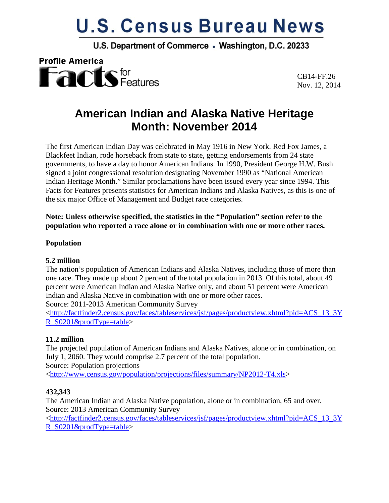# **U.S. Census Bureau News**

U.S. Department of Commerce . Washington, D.C. 20233



CB14-FF.26 Nov. 12, 2014

# **American Indian and Alaska Native Heritage Month: November 2014**

The first American Indian Day was celebrated in May 1916 in New York. Red Fox James, a Blackfeet Indian, rode horseback from state to state, getting endorsements from 24 state governments, to have a day to honor American Indians. In 1990, President George H.W. Bush signed a joint congressional resolution designating November 1990 as "National American Indian Heritage Month." Similar proclamations have been issued every year since 1994. This Facts for Features presents statistics for American Indians and Alaska Natives, as this is one of the six major Office of Management and Budget race categories.

**Note: Unless otherwise specified, the statistics in the "Population" section refer to the population who reported a race alone or in combination with one or more other races.**

#### **Population**

#### **5.2 million**

The nation's population of American Indians and Alaska Natives, including those of more than one race. They made up about 2 percent of the total population in 2013. Of this total, about 49 percent were American Indian and Alaska Native only, and about 51 percent were American Indian and Alaska Native in combination with one or more other races.

Source: 2011-2013 American Community Survey

[<http://factfinder2.census.gov/faces/tableservices/jsf/pages/productview.xhtml?pid=ACS\\_13\\_3Y](http://factfinder2.census.gov/faces/tableservices/jsf/pages/productview.xhtml?pid=ACS_13_3YR_S0201&prodType=table) [R\\_S0201&prodType=table>](http://factfinder2.census.gov/faces/tableservices/jsf/pages/productview.xhtml?pid=ACS_13_3YR_S0201&prodType=table)

#### **11.2 million**

The projected population of American Indians and Alaska Natives, alone or in combination, on July 1, 2060. They would comprise 2.7 percent of the total population. Source: Population projections

[<http://www.census.gov/population/projections/files/summary/NP2012-T4.xls>](http://www.census.gov/population/projections/files/summary/NP2012-T4.xls)

#### **432,343**

The American Indian and Alaska Native population, alone or in combination, 65 and over. Source: 2013 American Community Survey

[<http://factfinder2.census.gov/faces/tableservices/jsf/pages/productview.xhtml?pid=ACS\\_13\\_3Y](http://factfinder2.census.gov/faces/tableservices/jsf/pages/productview.xhtml?pid=ACS_13_3YR_S0201&prodType=table) [R\\_S0201&prodType=table>](http://factfinder2.census.gov/faces/tableservices/jsf/pages/productview.xhtml?pid=ACS_13_3YR_S0201&prodType=table)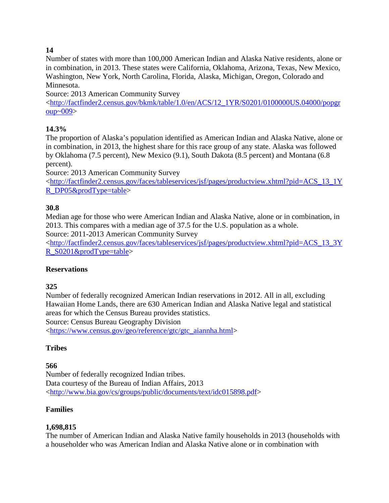# **14**

Number of states with more than 100,000 American Indian and Alaska Native residents, alone or in combination, in 2013. These states were California, Oklahoma, Arizona, Texas, New Mexico, Washington, New York, North Carolina, Florida, Alaska, Michigan, Oregon, Colorado and Minnesota.

Source: 2013 American Community Survey

[<http://factfinder2.census.gov/bkmk/table/1.0/en/ACS/12\\_1YR/S0201/0100000US.04000/popgr](http://factfinder2.census.gov/bkmk/table/1.0/en/ACS/12_1YR/S0201/0100000US.04000/popgr) [oup~009>](http://factfinder2.census.gov/bkmk/table/1.0/en/ACS/12_1YR/S0201/0100000US.04000/popgr)

# **14.3%**

The proportion of Alaska's population identified as American Indian and Alaska Native, alone or in combination, in 2013, the highest share for this race group of any state. Alaska was followed by Oklahoma (7.5 percent), New Mexico (9.1), South Dakota (8.5 percent) and Montana (6.8 percent).

Source: 2013 American Community Survey

[<http://factfinder2.census.gov/faces/tableservices/jsf/pages/productview.xhtml?pid=ACS\\_13\\_1Y](http://factfinder2.census.gov/faces/tableservices/jsf/pages/productview.xhtml?pid=ACS_13_1YR_DP05&prodType=table) [R\\_DP05&prodType=table>](http://factfinder2.census.gov/faces/tableservices/jsf/pages/productview.xhtml?pid=ACS_13_1YR_DP05&prodType=table)

# **30.8**

Median age for those who were American Indian and Alaska Native, alone or in combination, in 2013. This compares with a median age of 37.5 for the U.S. population as a whole.

Source: 2011-2013 American Community Survey

[<http://factfinder2.census.gov/faces/tableservices/jsf/pages/productview.xhtml?pid=ACS\\_13\\_3Y](http://factfinder2.census.gov/faces/tableservices/jsf/pages/productview.xhtml?pid=ACS_13_3YR_S0201&prodType=table) [R\\_S0201&prodType=table>](http://factfinder2.census.gov/faces/tableservices/jsf/pages/productview.xhtml?pid=ACS_13_3YR_S0201&prodType=table)

# **Reservations**

# **325**

Number of federally recognized American Indian reservations in 2012. All in all, excluding Hawaiian Home Lands, there are 630 American Indian and Alaska Native legal and statistical areas for which the Census Bureau provides statistics.

Source: Census Bureau Geography Division

[<https://www.census.gov/geo/reference/gtc/gtc\\_aiannha.html>](https://www.census.gov/geo/reference/gtc/gtc_aiannha.html)

# **Tribes**

# **566**

Number of federally recognized Indian tribes. Data courtesy of the Bureau of Indian Affairs, 2013 [<http://www.bia.gov/cs/groups/public/documents/text/idc015898.pdf>](http://www.bia.gov/cs/groups/public/documents/text/idc015898.pdf)

# **Families**

#### **1,698,815**

The number of American Indian and Alaska Native family households in 2013 (households with a householder who was American Indian and Alaska Native alone or in combination with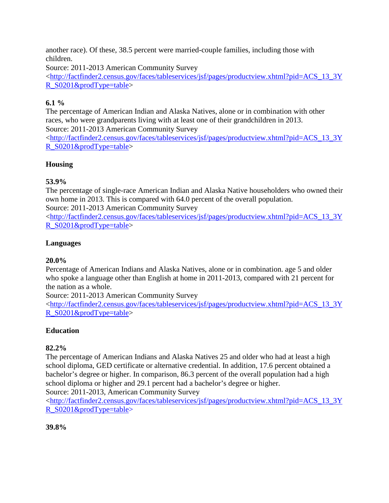another race). Of these, 38.5 percent were married-couple families, including those with children.

Source: 2011-2013 American Community Survey

[<http://factfinder2.census.gov/faces/tableservices/jsf/pages/productview.xhtml?pid=ACS\\_13\\_3Y](http://factfinder2.census.gov/faces/tableservices/jsf/pages/productview.xhtml?pid=ACS_13_3YR_S0201&prodType=table) [R\\_S0201&prodType=table>](http://factfinder2.census.gov/faces/tableservices/jsf/pages/productview.xhtml?pid=ACS_13_3YR_S0201&prodType=table)

# **6.1 %**

The percentage of American Indian and Alaska Natives, alone or in combination with other races, who were grandparents living with at least one of their grandchildren in 2013. Source: 2011-2013 American Community Survey [<http://factfinder2.census.gov/faces/tableservices/jsf/pages/productview.xhtml?pid=ACS\\_13\\_3Y](http://factfinder2.census.gov/faces/tableservices/jsf/pages/productview.xhtml?pid=ACS_13_3YR_S0201&prodType=table)

[R\\_S0201&prodType=table>](http://factfinder2.census.gov/faces/tableservices/jsf/pages/productview.xhtml?pid=ACS_13_3YR_S0201&prodType=table)

# **Housing**

# **53.9%**

The percentage of single-race American Indian and Alaska Native householders who owned their own home in 2013. This is compared with 64.0 percent of the overall population.

Source: 2011-2013 American Community Survey

[<http://factfinder2.census.gov/faces/tableservices/jsf/pages/productview.xhtml?pid=ACS\\_13\\_3Y](http://factfinder2.census.gov/faces/tableservices/jsf/pages/productview.xhtml?pid=ACS_13_3YR_S0201&prodType=table) [R\\_S0201&prodType=table>](http://factfinder2.census.gov/faces/tableservices/jsf/pages/productview.xhtml?pid=ACS_13_3YR_S0201&prodType=table)

# **Languages**

# **20.0%**

Percentage of American Indians and Alaska Natives, alone or in combination. age 5 and older who spoke a language other than English at home in 2011-2013, compared with 21 percent for the nation as a whole.

Source: 2011-2013 American Community Survey

[<http://factfinder2.census.gov/faces/tableservices/jsf/pages/productview.xhtml?pid=ACS\\_13\\_3Y](http://factfinder2.census.gov/faces/tableservices/jsf/pages/productview.xhtml?pid=ACS_13_3YR_S0201&prodType=table) [R\\_S0201&prodType=table>](http://factfinder2.census.gov/faces/tableservices/jsf/pages/productview.xhtml?pid=ACS_13_3YR_S0201&prodType=table)

# **Education**

# **82.2%**

The percentage of American Indians and Alaska Natives 25 and older who had at least a high school diploma, GED certificate or alternative credential. In addition, 17.6 percent obtained a bachelor's degree or higher. In comparison, 86.3 percent of the overall population had a high school diploma or higher and 29.1 percent had a bachelor's degree or higher.

Source: 2011-2013, American Community Survey

[<http://factfinder2.census.gov/faces/tableservices/jsf/pages/productview.xhtml?pid=ACS\\_13\\_3Y](http://factfinder2.census.gov/faces/tableservices/jsf/pages/productview.xhtml?pid=ACS_13_3YR_S0201&prodType=table) [R\\_S0201&prodType=table>](http://factfinder2.census.gov/faces/tableservices/jsf/pages/productview.xhtml?pid=ACS_13_3YR_S0201&prodType=table)

# **39.8%**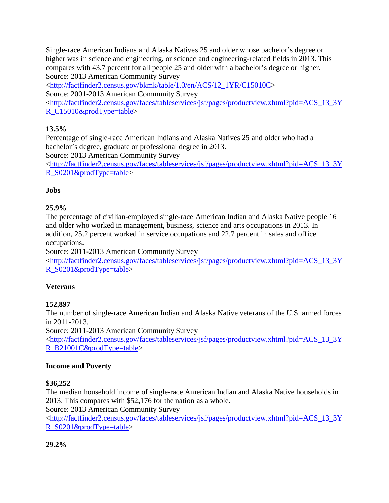Single-race American Indians and Alaska Natives 25 and older whose bachelor's degree or higher was in science and engineering, or science and engineering-related fields in 2013. This compares with 43.7 percent for all people 25 and older with a bachelor's degree or higher. Source: 2013 American Community Survey

[<http://factfinder2.census.gov/bkmk/table/1.0/en/ACS/12\\_1YR/C15010C>](http://factfinder2.census.gov/bkmk/table/1.0/en/ACS/12_1YR/C15010C)

Source: 2001-2013 American Community Survey

[<http://factfinder2.census.gov/faces/tableservices/jsf/pages/productview.xhtml?pid=ACS\\_13\\_3Y](http://factfinder2.census.gov/faces/tableservices/jsf/pages/productview.xhtml?pid=ACS_13_3YR_C15010&prodType=table) [R\\_C15010&prodType=table>](http://factfinder2.census.gov/faces/tableservices/jsf/pages/productview.xhtml?pid=ACS_13_3YR_C15010&prodType=table)

# **13.5%**

Percentage of single-race American Indians and Alaska Natives 25 and older who had a bachelor's degree, graduate or professional degree in 2013.

Source: 2013 American Community Survey

[<http://factfinder2.census.gov/faces/tableservices/jsf/pages/productview.xhtml?pid=ACS\\_13\\_3Y](http://factfinder2.census.gov/faces/tableservices/jsf/pages/productview.xhtml?pid=ACS_13_3YR_S0201&prodType=table) [R\\_S0201&prodType=table>](http://factfinder2.census.gov/faces/tableservices/jsf/pages/productview.xhtml?pid=ACS_13_3YR_S0201&prodType=table)

# **Jobs**

# **25.9%**

The percentage of civilian-employed single-race American Indian and Alaska Native people 16 and older who worked in management, business, science and arts occupations in 2013. In addition, 25.2 percent worked in service occupations and 22.7 percent in sales and office occupations.

Source: 2011-2013 American Community Survey

[<http://factfinder2.census.gov/faces/tableservices/jsf/pages/productview.xhtml?pid=ACS\\_13\\_3Y](http://factfinder2.census.gov/faces/tableservices/jsf/pages/productview.xhtml?pid=ACS_13_3YR_S0201&prodType=table) [R\\_S0201&prodType=table>](http://factfinder2.census.gov/faces/tableservices/jsf/pages/productview.xhtml?pid=ACS_13_3YR_S0201&prodType=table)

# **Veterans**

# **152,897**

The number of single-race American Indian and Alaska Native veterans of the U.S. armed forces in 2011-2013.

Source: 2011-2013 American Community Survey [<http://factfinder2.census.gov/faces/tableservices/jsf/pages/productview.xhtml?pid=ACS\\_13\\_3Y](http://factfinder2.census.gov/faces/tableservices/jsf/pages/productview.xhtml?pid=ACS_13_3YR_B21001C&prodType=table) [R\\_B21001C&prodType=table>](http://factfinder2.census.gov/faces/tableservices/jsf/pages/productview.xhtml?pid=ACS_13_3YR_B21001C&prodType=table)

# **Income and Poverty**

# **\$36,252**

The median household income of single-race American Indian and Alaska Native households in 2013. This compares with \$52,176 for the nation as a whole.

Source: 2013 American Community Survey

[<http://factfinder2.census.gov/faces/tableservices/jsf/pages/productview.xhtml?pid=ACS\\_13\\_3Y](http://factfinder2.census.gov/faces/tableservices/jsf/pages/productview.xhtml?pid=ACS_13_3YR_S0201&prodType=table) [R\\_S0201&prodType=table>](http://factfinder2.census.gov/faces/tableservices/jsf/pages/productview.xhtml?pid=ACS_13_3YR_S0201&prodType=table)

# **29.2%**